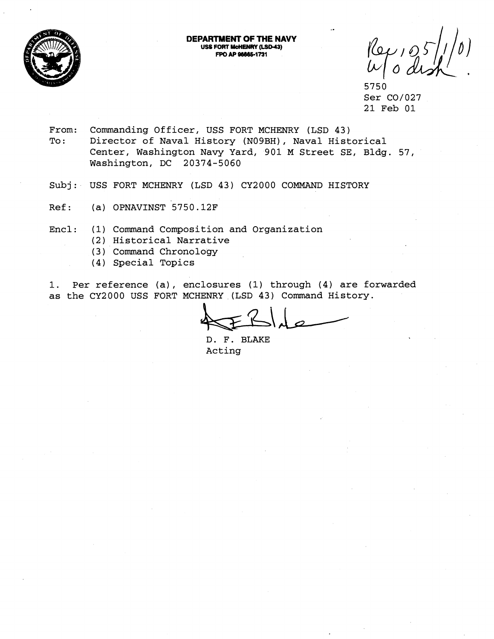

**DEPARTMBNT OF THE NAVY US FORT UcnENRY (LSD43) FPO AP 86865-1731** 

5750 Ser C0/027 21 Feb 01

- From: Commanding Officer, USS FORT MCHENRY (LSD 43) To: Director of Naval History (N09BH), Naval Historical Center, Washington Navy Yard, 901 M Street SE, Bldg. 57, Washington, DC 20374-5060
- Subj: USS FORT MCHENRY (LSD 43) CY2000 COMMAND HISTORY
- Ref: (a) OPNAVINST 5750.12F
- Encl: (1) Command Composition and Organization
	- (2) Historical Narrative
	- (3 ) Command Chronology
	- (4) Special Topics

1. Per reference (a), enclosures (1) through (4) are forwarded as the CY2000 USS FORT MCHENRY (LSD 43) Command History.

D. F. BLAKE Acting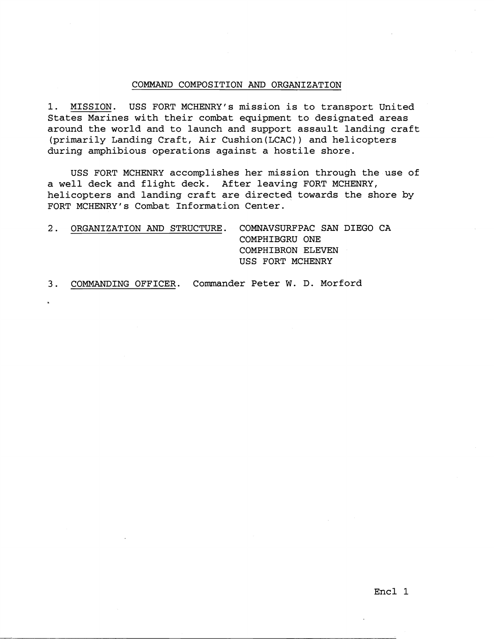## COMMAND COMPOSITION AND ORGANIZATION

1. MISSION. USS FORT MCHENRY's mission is to transport United States Marines with their combat equipment to designated areas around the world and to launch and support assault landing craft (primarily Landing Craft, Air Cushion(LCAC)) and helicopters during amphibious operations against a hostile shore.

USS FORT MCHENRY accomplishes her mission through the use of a well deck and flight deck. After leaving FORT MCHENRY, helicopters and landing craft are directed towards the shore by FORT MCHENRY's Combat Information Center.

2. ORGANIZATION AND STRUCTURE. COMNAVSURFPAC SAN DIEGO CA COMPHIBGRU ONE COMPHIBRON ELEVEN USS FORT MCHENRY

3. COMMANDING OFFICER. Commander Peter **W.** D. Morford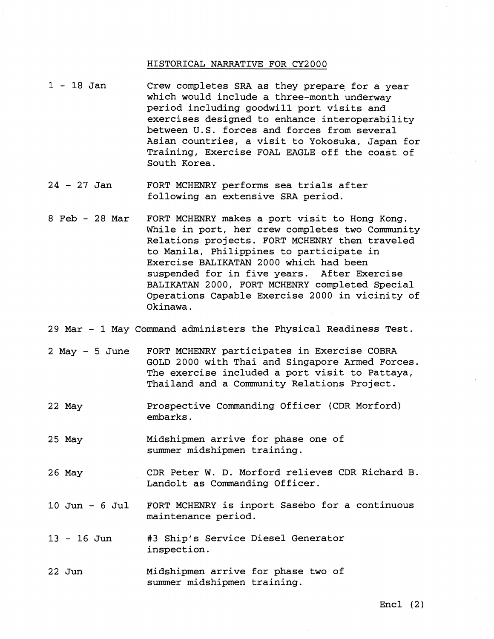#### HISTORICAL NARRATIVE FOR CY2000

- $1 18$  Jan Crew completes SRA as they prepare for a year which would include a three-month underway period including goodwill port visits and exercises designed to enhance interoperability between U.S. forces and forces from several Asian countries, a visit to Yokosuka, Japan for Training, Exercise FOAL EAGLE off the coast of South Korea.
- $24 27$  Jan FORT MCHENRY performs sea trials after following an extensive SRA period.
- 8 Feb 28 Mar FORT MCHENRY makes a port visit to Hong Kong. While in port, her crew completes two Community Relations projects. FORT MCHENRY then traveled to Manila, Philippines to participate in Exercise BALIKATAN 2000 which had been suspended for in five years. After Exercise BALIKATAN 2000, FORT MCHENRY completed Special Operations Capable Exercise 2000 in vicinity of Okinawa .

29 Mar - 1 May Command administers the Physical Readiness Test.

- $2$  May  $-5$  June FORT MCHENRY participates in Exercise COBRA GOLD 2000 with Thai and Singapore Armed Forces. The exercise included a port visit to Pattaya, Thailand and a Community Relations Project.
- 22 May Prospective Commanding Officer (CDR Morford) embarks.
- 25 May Midshipmen arrive for phase one of summer midshipmen training.
- 26 May CDR Peter W. D. Morford relieves CDR Richard B. Landolt as Commanding Officer.
- 10 Jun 6 Jul FORT MCHENRY is inport Sasebo for a continuous maintenance period.
- 13 16 Jun **#3** Ship's Service Diesel Generator inspection.
- 22 Jun Midshipmen arrive for phase two of summer midshipmen training.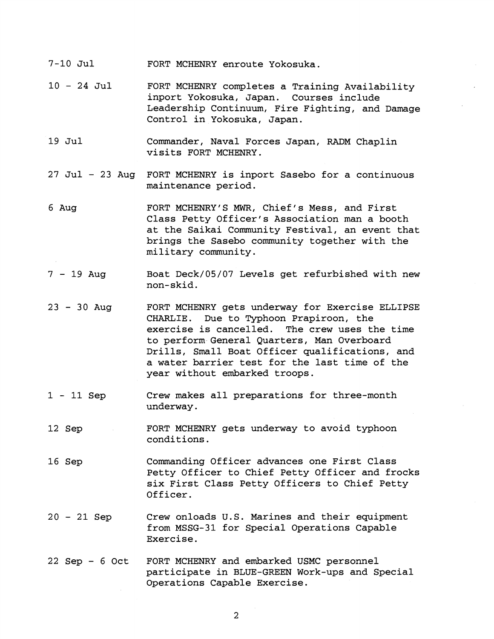- 7-10 Jul FORT MCHENRY enroute Yokosuka.
- <sup>10</sup> 24 Jul FORT MCHENRY completes a Training Availability inport Yokosuka, Japan. Courses include Leadership Continuum, Fire Fighting, and Damage Control in Yokosuka, Japan.
- 19 Jul Commander, Naval Forces Japan, RADM Chaplin visits FORT MCHENRY.
- 27 Jul 23 Aug FORT MCHENRY is inport Sasebo for a continuous maintenance period.
- 6 Aug FORT MCHENRYIS **MWR,** Chief's Mess, and First Class Petty Officer's Association man a booth at the Saikai Community Festival, an event that brings the Sasebo community together with the military community.
- <sup>7</sup> 19 Aug Boat Deck/05/07 Levels get refurbished with new non-skid.
- <sup>23</sup> 30 Aug FORT MCHENRY gets underway for Exercise ELLIPSE CHARLIE. Due to Typhoon Prapiroon, the exercise is cancelled. The crew uses the time to perform General Quarters, Man Overboard Drills, Small Boat Officer qualifications, and a water barrier test for the last time of the year without embarked troops.
- 1 11 Sep Crew makes all preparations for three-month underway.
- 12 Sep FORT MCHENRY gets underway to avoid typhoon conditions.
- 16 Sep Commanding Officer advances one First Class Petty Officer to Chief Petty Officer and frocks six First Class Petty Officers to Chief Petty Officer.
- <sup>20</sup> 21 Sep Crew onloads U.S. Marines and their equipment from MSSG-31 for Special Operations Capable Exercise.
- 22 Sep 6 Oct FORT MCHENRY and embarked USMC personnel participate in BLUE-GREEN Work-ups and Special Operations Capable Exercise.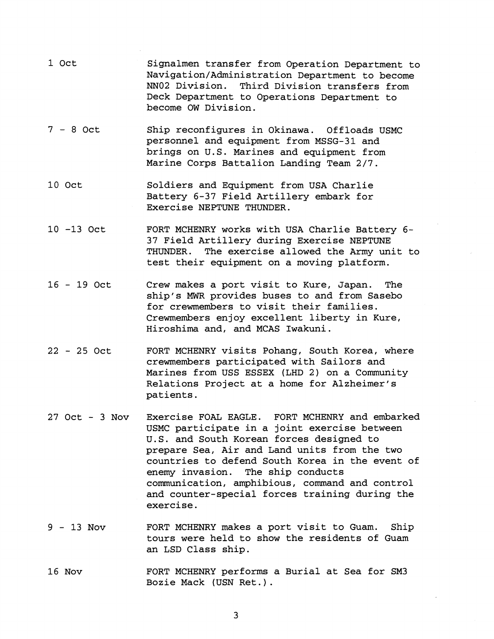- 1 Oct Signalmen transfer from Operation Department to **Navigation/Administration** Department to become NN02 Division. Third Division transfers from Deck Department to Operations Department to become OW Division.
- <sup>7</sup> 8 Oct Ship reconfigures in Okinawa. Offloads USMC personnel and equipment from MSSG-31 and brings on U.S. Marines and equipment from Marine Corps Battalion Landing Team 2/7.
- 10 Oct Soldiers and Equipment from USA Charlie Battery 6-37 Field Artillery embark for Exercise NEPTUNE THUNDER.
- 10 -13 Oct FORT MCHENRY works with USA Charlie Battery **6-**  37 Field Artillery during Exercise NEPTUNE THUNDER. The exercise allowed the Army unit to test their equipment on a moving platform.
- 16 19 Oct Crew makes a port visit to Kure, Japan. The ship's **MWR** provides buses to and from Sasebo for crewmembers to visit their families. Crewmembers enjoy excellent liberty in Kure, Hiroshima and, and MCAS Iwakuni.
- 22 25 Oct FORT MCHENRY visits Pohang, South Korea, where crewmembers participated with Sailors and Marines from USS ESSEX (LHD 2) on a Community Relations Project at a home for Alzheimer's patients.
- 27 Oct 3 Nov Exercise FOAL EAGLE. FORT MCHENRY and embarked USMC participate in a joint exercise between U.S. and South Korean forces designed to prepare Sea, Air and Land units from the two countries to defend South Korea in the event of enemy invasion. The ship conducts communication, amphibious, command and control and counter-special forces training during the exercise.
- 9 13 Nov FORT MCHENRY makes a port visit to Guam. Ship tours were held to show the residents of Guam an LSD Class ship.
- 16 Nov FORT MCHENRY performs a Burial at Sea for SM3 Bozie Mack (USN Ret. ) .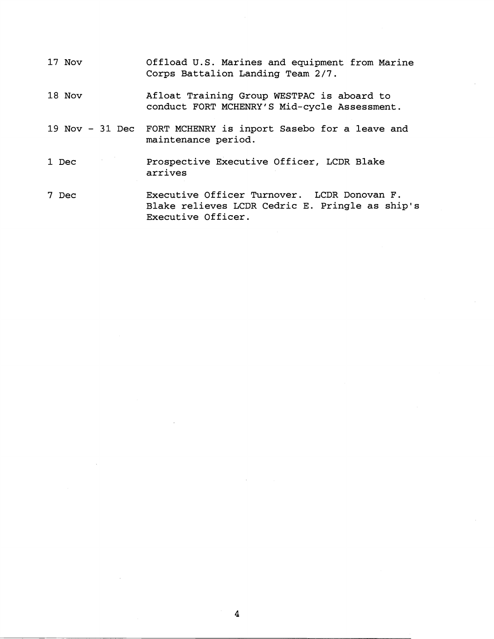- 17 Nov Offload U.S. Marines and equipment from Marine Corps Battalion Landing Team 2/7.
- 18 Nov Afloat Training Group WESTPAC is aboard to conduct FORT MCHENRY'S Mid-cycle Assessment.
- 19 Nov 31 Dec FORT MCHENRY is inport Sasebo for a leave and maintenance period.
- 1 Dec Prospective Executive Officer, LCDR Blake arrives
- 7 Dec Executive Officer Turnover. LCDR Donovan F. Blake relieves LCDR Cedric E. Pringle as ship's Executive Officer.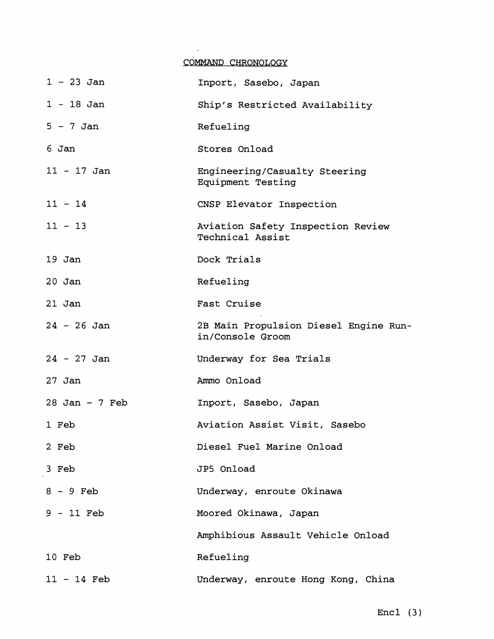### COMMAND CHRONOLOGY

 $\bar{z}$ 

| 1 - 23 Jan       | Inport, Sasebo, Japan                                     |  |
|------------------|-----------------------------------------------------------|--|
| $1 - 18$ Jan     | Ship's Restricted Availability                            |  |
| $5 - 7$ Jan      | Refueling                                                 |  |
| 6 Jan            | Stores Onload                                             |  |
| $11 - 17$ Jan    | Engineering/Casualty Steering<br>Equipment Testing        |  |
| $11 - 14$        | CNSP Elevator Inspection                                  |  |
| $11 - 13$        | Aviation Safety Inspection Review<br>Technical Assist     |  |
| $19$ Jan         | Dock Trials                                               |  |
| $20$ Jan         | Refueling                                                 |  |
| $21$ Jan         | Fast Cruise                                               |  |
| $24 - 26$ Jan    | 2B Main Propulsion Diesel Engine Run-<br>in/Console Groom |  |
| $24 - 27$ Jan    | Underway for Sea Trials                                   |  |
| 27 Jan           | Ammo Onload                                               |  |
| $28$ Jan - 7 Feb | Inport, Sasebo, Japan                                     |  |
| 1 Feb            | Aviation Assist Visit, Sasebo                             |  |
| 2 Feb            | Diesel Fuel Marine Onload                                 |  |
| 3 Feb            | JP5 Onload                                                |  |
| $8 - 9$ Feb      | Underway, enroute Okinawa                                 |  |
| $9 - 11$ Feb     | Moored Okinawa, Japan                                     |  |
|                  | Amphibious Assault Vehicle Onload                         |  |
| 10 Feb           | Refueling                                                 |  |
| $11 - 14$ Feb    | Underway, enroute Hong Kong, China                        |  |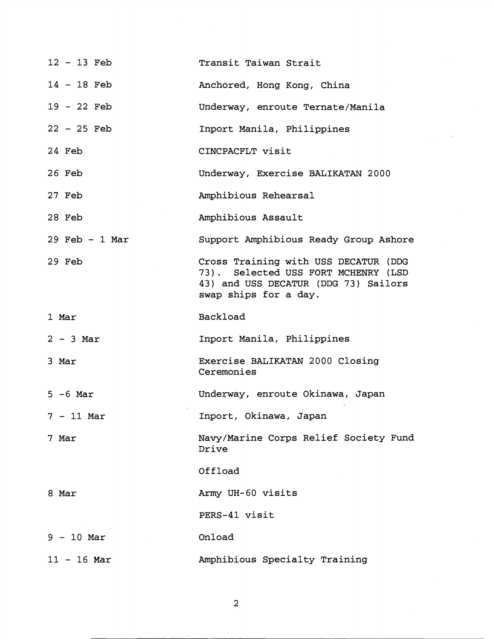| $12 - 13$ Feb    | Transit Taiwan Strait                                                                                                                        |
|------------------|----------------------------------------------------------------------------------------------------------------------------------------------|
| $14 - 18$ Feb    | Anchored, Hong Kong, China                                                                                                                   |
| $19 - 22$ Feb    | Underway, enroute Ternate/Manila                                                                                                             |
| $22 - 25$ Feb    | Inport Manila, Philippines                                                                                                                   |
| 24 Feb           | CINCPACFLT visit                                                                                                                             |
| 26 Feb           | Underway, Exercise BALIKATAN 2000                                                                                                            |
| 27 Feb           | Amphibious Rehearsal                                                                                                                         |
| 28 Feb           | Amphibious Assault                                                                                                                           |
| $29$ Feb - 1 Mar | Support Amphibious Ready Group Ashore                                                                                                        |
| 29 Feb           | Cross Training with USS DECATUR (DDG<br>73). Selected USS FORT MCHENRY (LSD<br>43) and USS DECATUR (DDG 73) Sailors<br>swap ships for a day. |
| 1 Mar            | Backload                                                                                                                                     |
| $2 - 3$ Mar      | Inport Manila, Philippines                                                                                                                   |
| 3 Mar            | Exercise BALIKATAN 2000 Closing<br>Ceremonies                                                                                                |
| $5 - 6$ Mar      | Underway, enroute Okinawa, Japan                                                                                                             |
| $7 - 11$ Mar     | Inport, Okinawa, Japan                                                                                                                       |
| 7 Mar            | Navy/Marine Corps Relief Society Fund<br>Drive                                                                                               |
|                  | Offload                                                                                                                                      |
| 8 Mar            | Army UH-60 visits                                                                                                                            |
|                  | PERS-41 visit                                                                                                                                |
| $9 - 10$ Mar     | Onload                                                                                                                                       |
| $11 - 16$ Mar    | Amphibious Specialty Training                                                                                                                |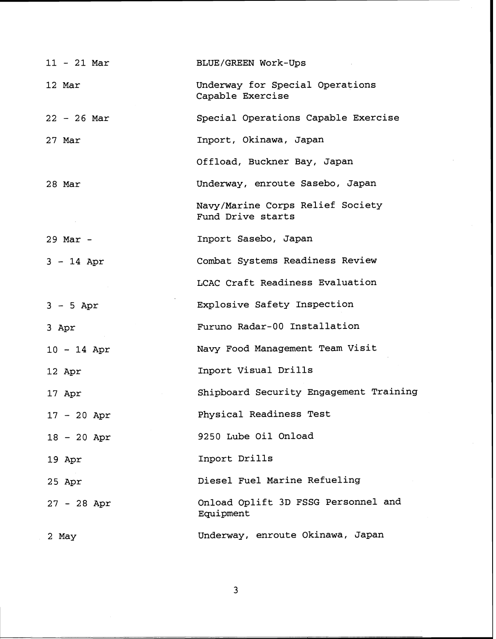| $11 - 21$ Mar | BLUE/GREEN Work-Ups                                   |
|---------------|-------------------------------------------------------|
| 12 Mar        | Underway for Special Operations<br>Capable Exercise   |
| $22 - 26$ Mar | Special Operations Capable Exercise                   |
| 27 Mar        | Inport, Okinawa, Japan                                |
|               | Offload, Buckner Bay, Japan                           |
| 28 Mar        | Underway, enroute Sasebo, Japan                       |
|               | Navy/Marine Corps Relief Society<br>Fund Drive starts |
| $29$ Mar -    | Inport Sasebo, Japan                                  |
| $3 - 14$ Apr  | Combat Systems Readiness Review                       |
|               | LCAC Craft Readiness Evaluation                       |
| $3 - 5$ Apr   | Explosive Safety Inspection                           |
| 3 Apr         | Furuno Radar-00 Installation                          |
| $10 - 14$ Apr | Navy Food Management Team Visit                       |
| 12 Apr        | Inport Visual Drills                                  |
| 17 Apr        | Shipboard Security Engagement Training                |
| $17 - 20$ Apr | Physical Readiness Test                               |
| $18 - 20$ Apr | 9250 Lube Oil Onload                                  |
| 19 Apr        | Inport Drills                                         |
| 25 Apr        | Diesel Fuel Marine Refueling                          |
| $27 - 28$ Apr | Onload Oplift 3D FSSG Personnel and<br>Equipment      |
| 2 May         | Underway, enroute Okinawa, Japan                      |

 $\overline{3}$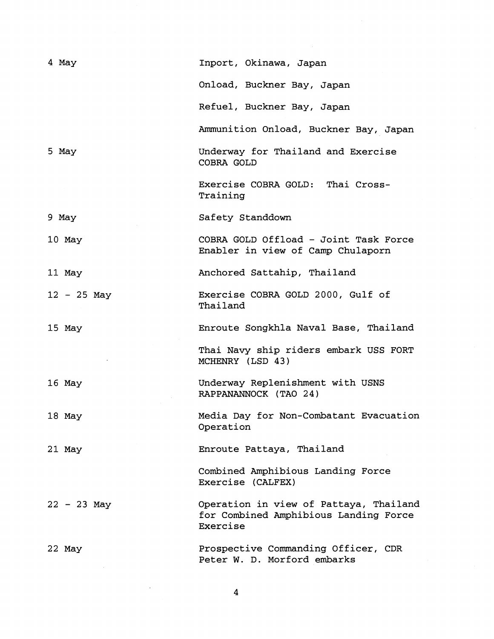| 4 May         | Inport, Okinawa, Japan                                                                      |
|---------------|---------------------------------------------------------------------------------------------|
|               | Onload, Buckner Bay, Japan                                                                  |
|               | Refuel, Buckner Bay, Japan                                                                  |
|               | Ammunition Onload, Buckner Bay, Japan                                                       |
| 5 May         | Underway for Thailand and Exercise<br>COBRA GOLD                                            |
|               | Exercise COBRA GOLD: Thai Cross-<br>Training                                                |
| 9 May         | Safety Standdown                                                                            |
| $10$ May      | COBRA GOLD Offload - Joint Task Force<br>Enabler in view of Camp Chulaporn                  |
| 11 May        | Anchored Sattahip, Thailand                                                                 |
| $12 - 25$ May | Exercise COBRA GOLD 2000, Gulf of<br>Thailand                                               |
| 15 May        | Enroute Songkhla Naval Base, Thailand                                                       |
|               | Thai Navy ship riders embark USS FORT<br>MCHENRY (LSD 43)                                   |
| 16 May        | Underway Replenishment with USNS<br>RAPPANANNOCK (TAO 24)                                   |
| 18 May        | Media Day for Non-Combatant Evacuation<br>Operation                                         |
| 21 May        | Enroute Pattaya, Thailand                                                                   |
|               | Combined Amphibious Landing Force<br>Exercise (CALFEX)                                      |
| $22 - 23$ May | Operation in view of Pattaya, Thailand<br>for Combined Amphibious Landing Force<br>Exercise |
| 22 May        | Prospective Commanding Officer, CDR<br>Peter W. D. Morford embarks                          |

 $\overline{\mathbf{4}}$ 

 $\mathcal{L}(\mathcal{L}^{\text{max}})$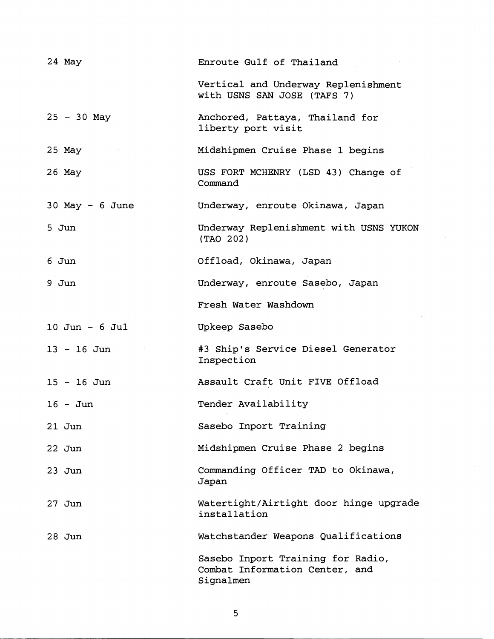| 24 May             | Enroute Gulf of Thailand                                           |  |  |
|--------------------|--------------------------------------------------------------------|--|--|
|                    | Vertical and Underway Replenishment<br>with USNS SAN JOSE (TAFS 7) |  |  |
| $25 - 30$ May      | Anchored, Pattaya, Thailand for<br>liberty port visit              |  |  |
| $25$ May           | Midshipmen Cruise Phase 1 begins                                   |  |  |
| $26$ May           | USS FORT MCHENRY (LSD 43) Change of<br>Command                     |  |  |
| $30$ May - 6 June  | Underway, enroute Okinawa, Japan                                   |  |  |
| 5 Jun              | Underway Replenishment with USNS YUKON<br>(TAO 202)                |  |  |
| 6 Jun              | Offload, Okinawa, Japan                                            |  |  |
| 9 Jun              | Underway, enroute Sasebo, Japan                                    |  |  |
|                    | Fresh Water Washdown                                               |  |  |
| $10$ Jun - $6$ Jul | Upkeep Sasebo                                                      |  |  |
|                    |                                                                    |  |  |
| $13 - 16$ Jun      | #3 Ship's Service Diesel Generator<br>Inspection                   |  |  |
| $15 - 16$ Jun      | Assault Craft Unit FIVE Offload                                    |  |  |
| $16 - Jun$         | Tender Availability                                                |  |  |
| $21$ Jun           | Sasebo Inport Training                                             |  |  |
| $22$ Jun           | Midshipmen Cruise Phase 2 begins                                   |  |  |
| $23$ Jun           | Commanding Officer TAD to Okinawa,<br>Japan                        |  |  |
| $27$ Jun           | Watertight/Airtight door hinge upgrade<br>installation             |  |  |
| $28$ Jun           | Watchstander Weapons Qualifications                                |  |  |

 $\overline{5}$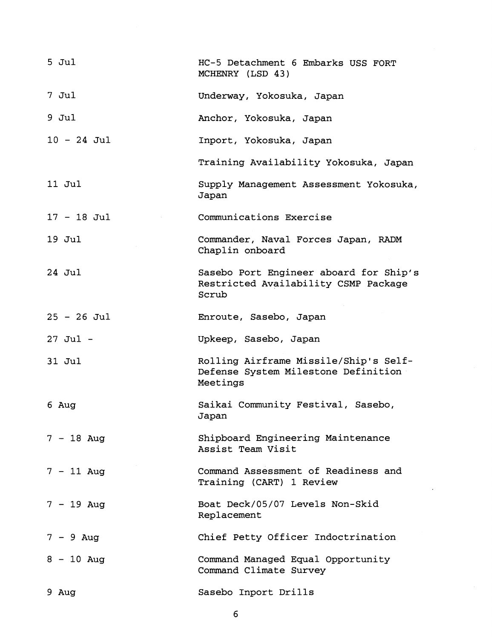| $5$ $Jul$     | HC-5 Detachment 6 Embarks USS FORT<br>MCHENRY (LSD 43)                                   |
|---------------|------------------------------------------------------------------------------------------|
| 7 Jul         | Underway, Yokosuka, Japan                                                                |
| $9$ Jul       | Anchor, Yokosuka, Japan                                                                  |
| $10 - 24$ Jul | Inport, Yokosuka, Japan                                                                  |
|               | Training Availability Yokosuka, Japan                                                    |
| 11 Jul        | Supply Management Assessment Yokosuka,<br>Japan                                          |
| $17 - 18$ Jul | Communications Exercise                                                                  |
| 19 Jul        | Commander, Naval Forces Japan, RADM<br>Chaplin onboard                                   |
| $24$ Jul      | Sasebo Port Engineer aboard for Ship's<br>Restricted Availability CSMP Package<br>Scrub  |
| $25 - 26$ Jul | Enroute, Sasebo, Japan                                                                   |
| $27$ Jul $-$  | Upkeep, Sasebo, Japan                                                                    |
| 31 Jul        | Rolling Airframe Missile/Ship's Self-<br>Defense System Milestone Definition<br>Meetings |
| 6 Aug         | Saikai Community Festival, Sasebo,<br>Japan                                              |
| $7 - 18$ Aug  | Shipboard Engineering Maintenance<br>Assist Team Visit                                   |
| $7 - 11$ Aug  | Command Assessment of Readiness and<br>Training (CART) 1 Review                          |
| $7 - 19$ Aug  | Boat Deck/05/07 Levels Non-Skid<br>Replacement                                           |
| $7 - 9$ Aug   | Chief Petty Officer Indoctrination                                                       |
| $8 - 10$ Aug  | Command Managed Equal Opportunity<br>Command Climate Survey                              |
| 9 Aug         | Sasebo Inport Drills                                                                     |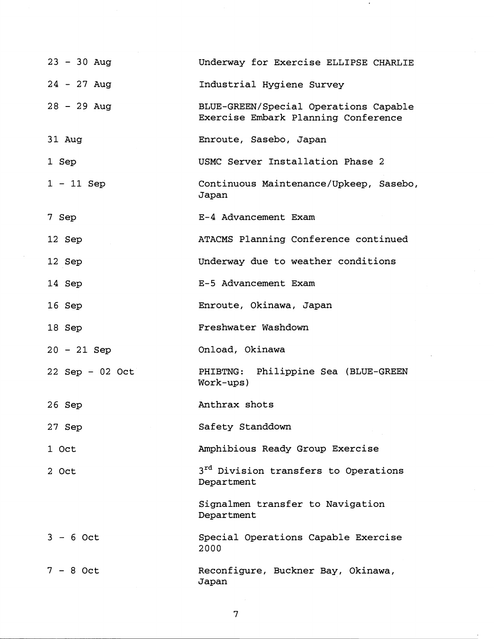| $23 - 30$ Aug     | Underway for Exercise ELLIPSE CHARLIE                                        |
|-------------------|------------------------------------------------------------------------------|
| $24 - 27$ Aug     | Industrial Hygiene Survey                                                    |
| $28 - 29$ Aug     | BLUE-GREEN/Special Operations Capable<br>Exercise Embark Planning Conference |
| 31 Aug            | Enroute, Sasebo, Japan                                                       |
| 1 Sep             | USMC Server Installation Phase 2                                             |
| $1 - 11$ Sep      | Continuous Maintenance/Upkeep, Sasebo,<br>Japan                              |
| 7 Sep             | E-4 Advancement Exam                                                         |
| 12 Sep            | ATACMS Planning Conference continued                                         |
| 12 Sep            | Underway due to weather conditions                                           |
| 14 Sep            | E-5 Advancement Exam                                                         |
| 16 Sep            | Enroute, Okinawa, Japan                                                      |
| 18 Sep            | Freshwater Washdown                                                          |
| $20 - 21$ Sep     | Onload, Okinawa                                                              |
| $22$ Sep - 02 Oct | Philippine Sea (BLUE-GREEN<br>PHIBTNG:<br>Work-ups)                          |
| 26 Sep            | Anthrax shots                                                                |
| 27 Sep            | Safety Standdown                                                             |
| 1 Oct             | Amphibious Ready Group Exercise                                              |
| 2 Oct             | 3 <sup>rd</sup> Division transfers to Operations<br>Department               |
|                   | Signalmen transfer to Navigation<br>Department                               |
| $3 - 6$ Oct       | Special Operations Capable Exercise<br>2000                                  |
| $7 - 8$ Oct       | Reconfigure, Buckner Bay, Okinawa,<br>Japan                                  |

 $\overline{7}$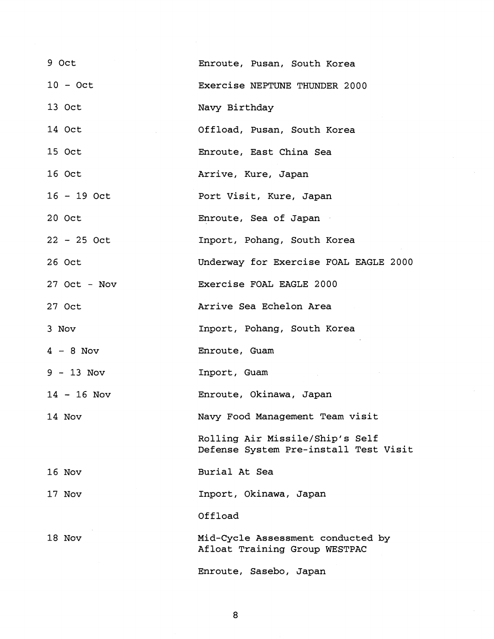| 9 Oct          | Enroute, Pusan, South Korea                                              |  |
|----------------|--------------------------------------------------------------------------|--|
| $10 - Oct$     | Exercise NEPTUNE THUNDER 2000                                            |  |
| 13 Oct         | Navy Birthday                                                            |  |
| 14 Oct         | Offload, Pusan, South Korea                                              |  |
| 15 Oct         | Enroute, East China Sea                                                  |  |
| 16 Oct         | Arrive, Kure, Japan                                                      |  |
| $16 - 19$ Oct  | Port Visit, Kure, Japan                                                  |  |
| 20 Oct         | Enroute, Sea of Japan                                                    |  |
| $22 - 25$ Oct  | Inport, Pohang, South Korea                                              |  |
| 26 Oct         | Underway for Exercise FOAL EAGLE 2000                                    |  |
| $27$ Oct - Nov | Exercise FOAL EAGLE 2000                                                 |  |
| 27 Oct         | Arrive Sea Echelon Area                                                  |  |
|                |                                                                          |  |
| 3 Nov          | Inport, Pohang, South Korea                                              |  |
| $4 - 8$ Nov    | Enroute, Guam                                                            |  |
| $9 - 13$ Nov   | Inport, Guam                                                             |  |
| $14 - 16$ Nov  | Enroute, Okinawa, Japan                                                  |  |
| 14 Nov         | Navy Food Management Team visit                                          |  |
|                | Rolling Air Missile/Ship's Self<br>Defense System Pre-install Test Visit |  |
| 16 Nov         | Burial At Sea                                                            |  |
| 17 Nov         | Inport, Okinawa, Japan                                                   |  |
|                | Offload                                                                  |  |
| 18 Nov         | Mid-Cycle Assessment conducted by<br>Afloat Training Group WESTPAC       |  |

 $\boldsymbol{8}$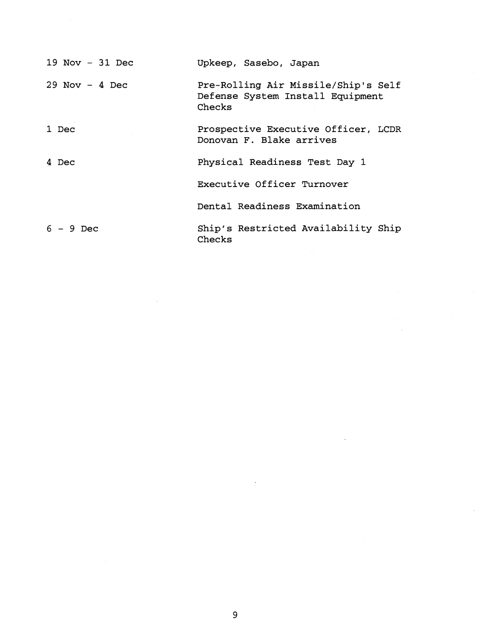| $19$ Nov - $31$ Dec | Upkeep, Sasebo, Japan                                                             |
|---------------------|-----------------------------------------------------------------------------------|
| $29$ Nov - 4 Dec    | Pre-Rolling Air Missile/Ship's Self<br>Defense System Install Equipment<br>Checks |
| 1 Dec               | Prospective Executive Officer, LCDR<br>Donovan F. Blake arrives                   |
| 4 Dec               | Physical Readiness Test Day 1                                                     |
|                     | Executive Officer Turnover                                                        |
|                     | Dental Readiness Examination                                                      |
| $6 - 9$ Dec         | Ship's Restricted Availability Ship<br>Checks                                     |

 $\hat{\mathcal{A}}$ 

 $\hat{\mathbf{v}}$ 

 $\label{eq:2.1} \frac{1}{\sqrt{2}}\left(\frac{1}{\sqrt{2}}\right)^{2} \left(\frac{1}{\sqrt{2}}\right)^{2} \left(\frac{1}{\sqrt{2}}\right)^{2} \left(\frac{1}{\sqrt{2}}\right)^{2} \left(\frac{1}{\sqrt{2}}\right)^{2} \left(\frac{1}{\sqrt{2}}\right)^{2} \left(\frac{1}{\sqrt{2}}\right)^{2} \left(\frac{1}{\sqrt{2}}\right)^{2} \left(\frac{1}{\sqrt{2}}\right)^{2} \left(\frac{1}{\sqrt{2}}\right)^{2} \left(\frac{1}{\sqrt{2}}\right)^{2} \left(\$ 

 $\hat{\mathcal{L}}$